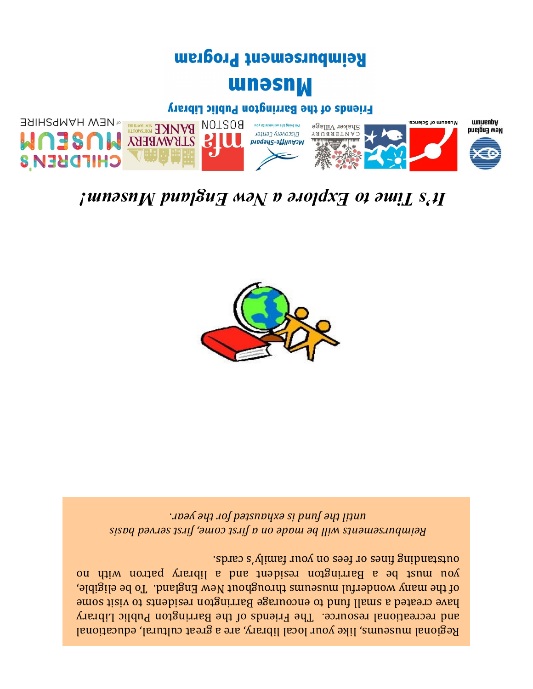Regional museums, like your local library, are a great cultural, educational and recreational resource. The Friends of the Barrington Public Library have created a small fund to encourage Barrington residents to visit some of the many wonderful museums throughout New England. To be eligible, you up a Barrington resident and a library patron and a library patron with no spires  $s_A$  filmed the capacition sparship family family family  $s_A$ 

*Reimbursements will be made on a first come, first served basis*  . *until the fund is exhausted for the year*



## *s Time to Explore a New England Museum! ' It*



## **unesn<sub>M</sub>**